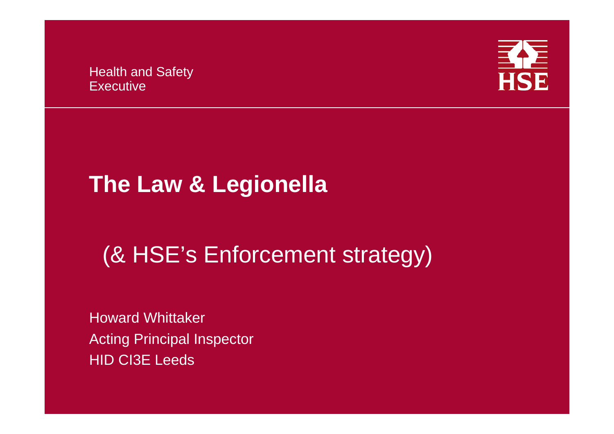Health and Safety **Executive** 



# **The Law & Legionella**

# (& HSE's Enforcement strategy)

Howard WhittakerActing Principal Inspector HID CI3E Leeds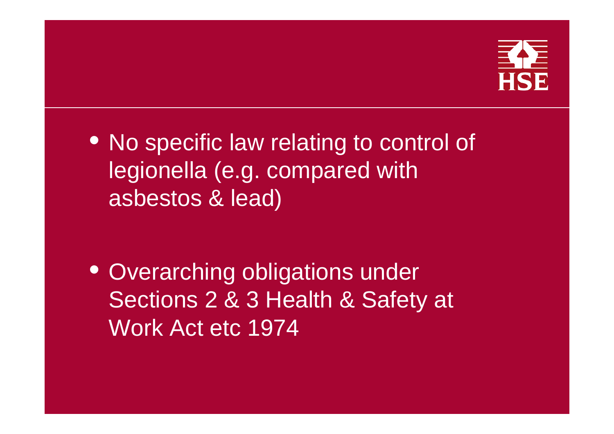

• No specific law relating to control of legionella (e.g. compared with asbestos & lead)

• Overarching obligations under Sections 2 & 3 Health & Safety at Work Act etc 1974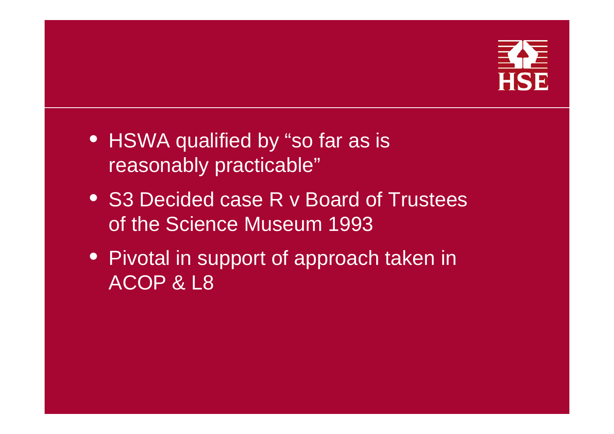

- HSWA qualified by "so far as is reasonably practicable"
- S3 Decided case R v Board of Trustees of the Science Museum 1993
- Pivotal in support of approach taken in ACOP & L8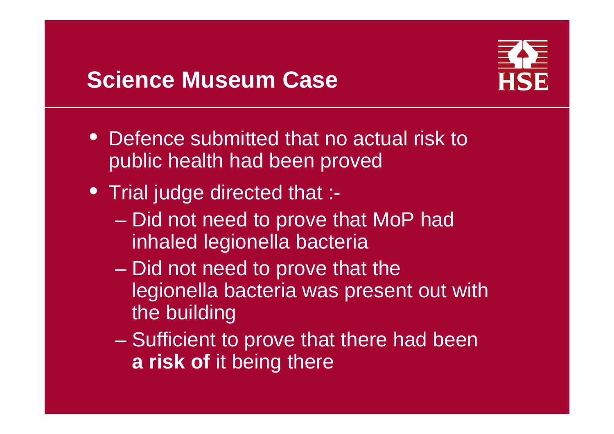### **Science Museum Case**



- Defence submitted that no actual risk to public health had been proved
- Trial judge directed that :-
	- Did not need to prove that MoP had inhaled legionella bacteria
	- en al control de la control de  $-$  Did not need to prove that the  $\overline{\phantom{a}}$ legionella bacteria was present out with the building
	- en al control de la control de - Sufficient to prove that there had been **a risk of** it being there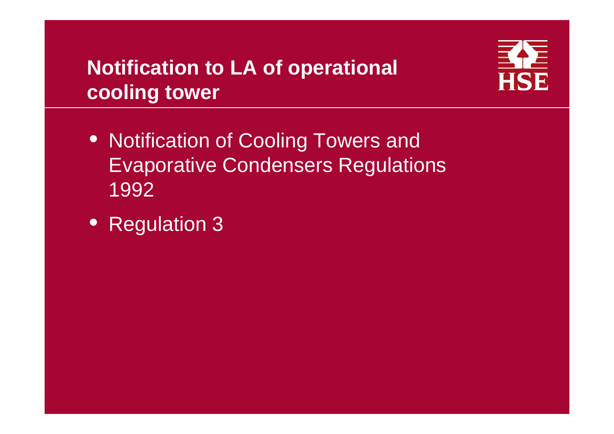#### **Notification to LA of operational cooling tower**



- Notification of Cooling Towers and Evaporative Condensers Regulations 1992
- Regulation 3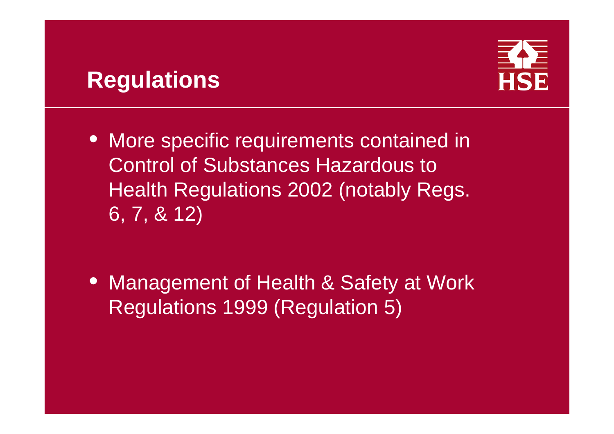### **Regulations**



• More specific requirements contained in Control of Substances Hazardous to Health Regulations 2002 (notably Regs. 6, 7, & 12)

• Management of Health & Safety at Work Regulations 1999 (Regulation 5)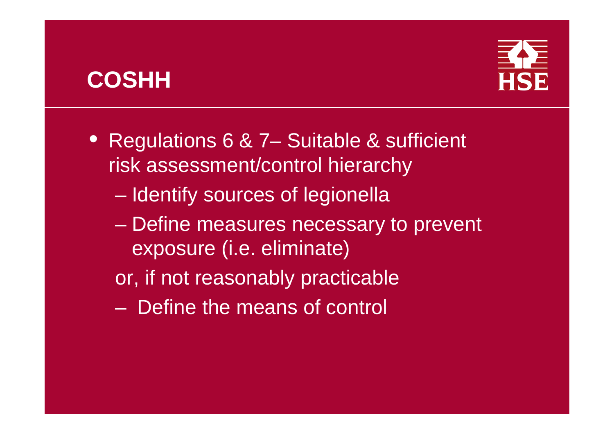### **COSHH**



- Regulations 6 & 7– Suitable & sufficient risk assessment/control hierarchy
	- –– Identify sources of legionella
	- –– Define measures necessary to prevent exposure (i.e. eliminate)
	- or, if not reasonably practicable
	- Define the means of control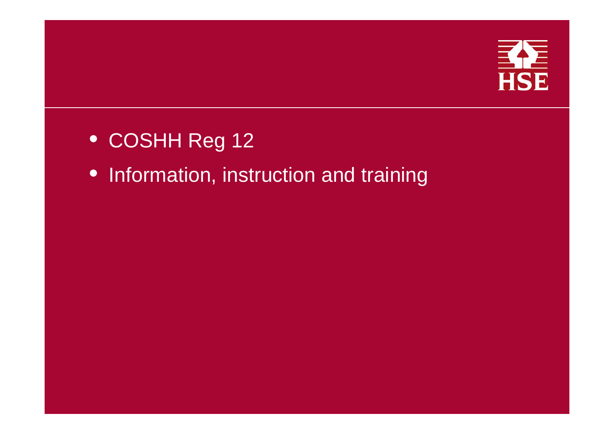

- COSHH Reg 12
- Information, instruction and training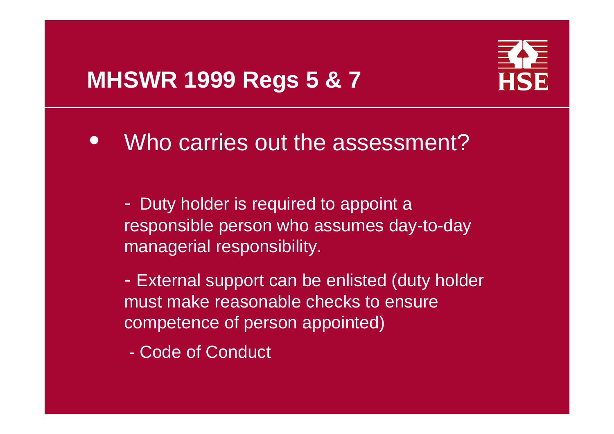### **MHSWR 1999 Regs 5 & 7**



 $\bullet$ Who carries out the assessment?

- Duty holder is required to appoint a responsible person who assumes day-to-day managerial responsibility.

 External support can be enlisted (duty holder must make reasonable checks to ensure competence of person appointed)

-Code of Conduct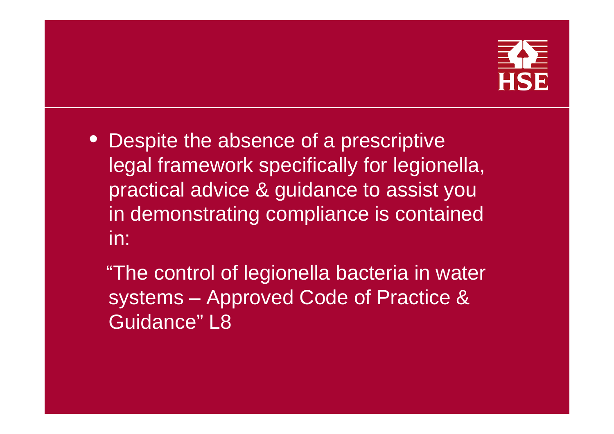

- Despite the absence of a prescriptive legal framework specifically for legionella, practical advice & guidance to assist you in demonstrating compliance is contained in:
	- "The control of legionella bacteria in water systems – Approved Code of Practice & Guidance" L8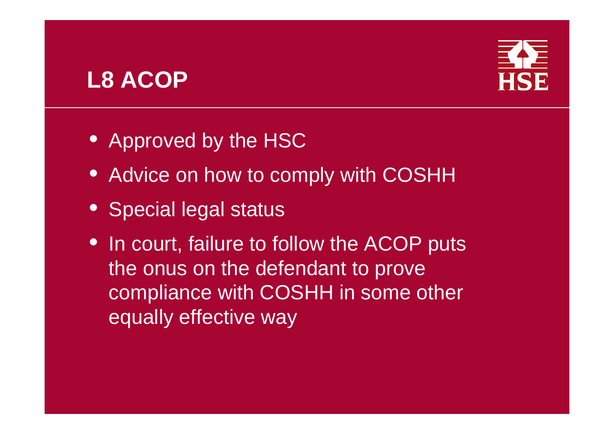### **L8 ACOP**



- Approved by the HSC
- Advice on how to comply with COSHH
- Special legal status
- In court, failure to follow the ACOP puts the onus on the defendant to prove compliance with COSHH in some other equally effective way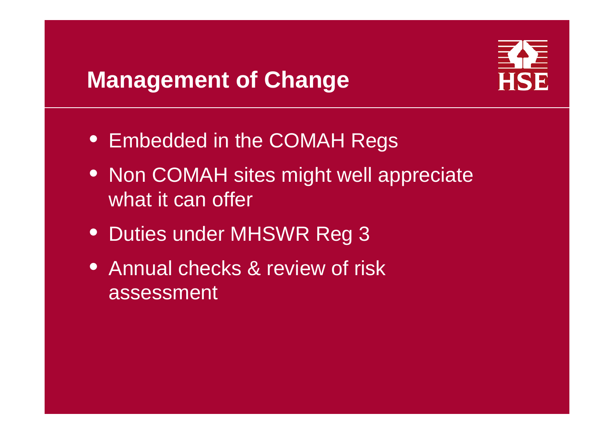### **Management of Change**



- Embedded in the COMAH Regs
- Non COMAH sites might well appreciate what it can offer
- Duties under MHSWR Reg 3
- Annual checks & review of risk assessment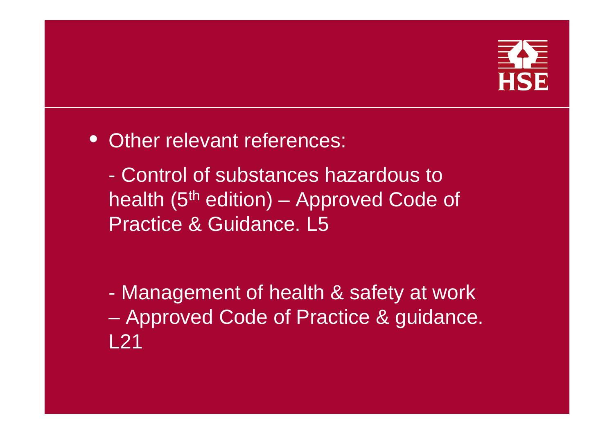

• Other relevant references:

- Control of substances hazardous to health (5th edition) – Approved Code of Practice & Guidance. L5

- Management of health & safety at work – Approved Code of Practice & guidance. L21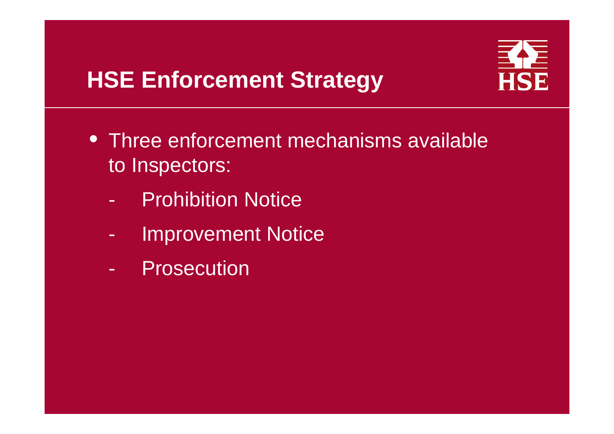### **HSE Enforcement Strategy**



- Three enforcement mechanisms available to Inspectors:
	- -Prohibition Notice
	- -Improvement Notice
	- -**Prosecution**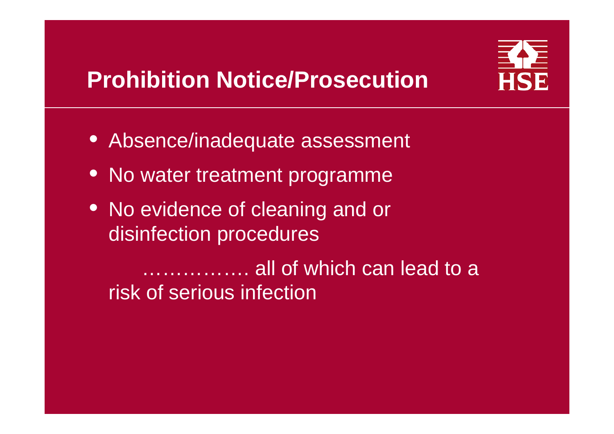

# **Prohibition Notice/Prosecution**

- Absence/inadequate assessment
- No water treatment programme
- No evidence of cleaning and or disinfection procedures

……………. all of which can lead to a risk of serious infection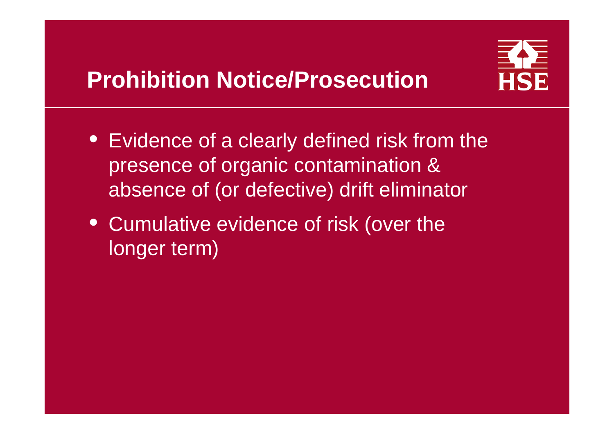

- Evidence of a clearly defined risk from the presence of organic contamination & absence of (or defective) drift eliminator
- Cumulative evidence of risk (over the longer term)